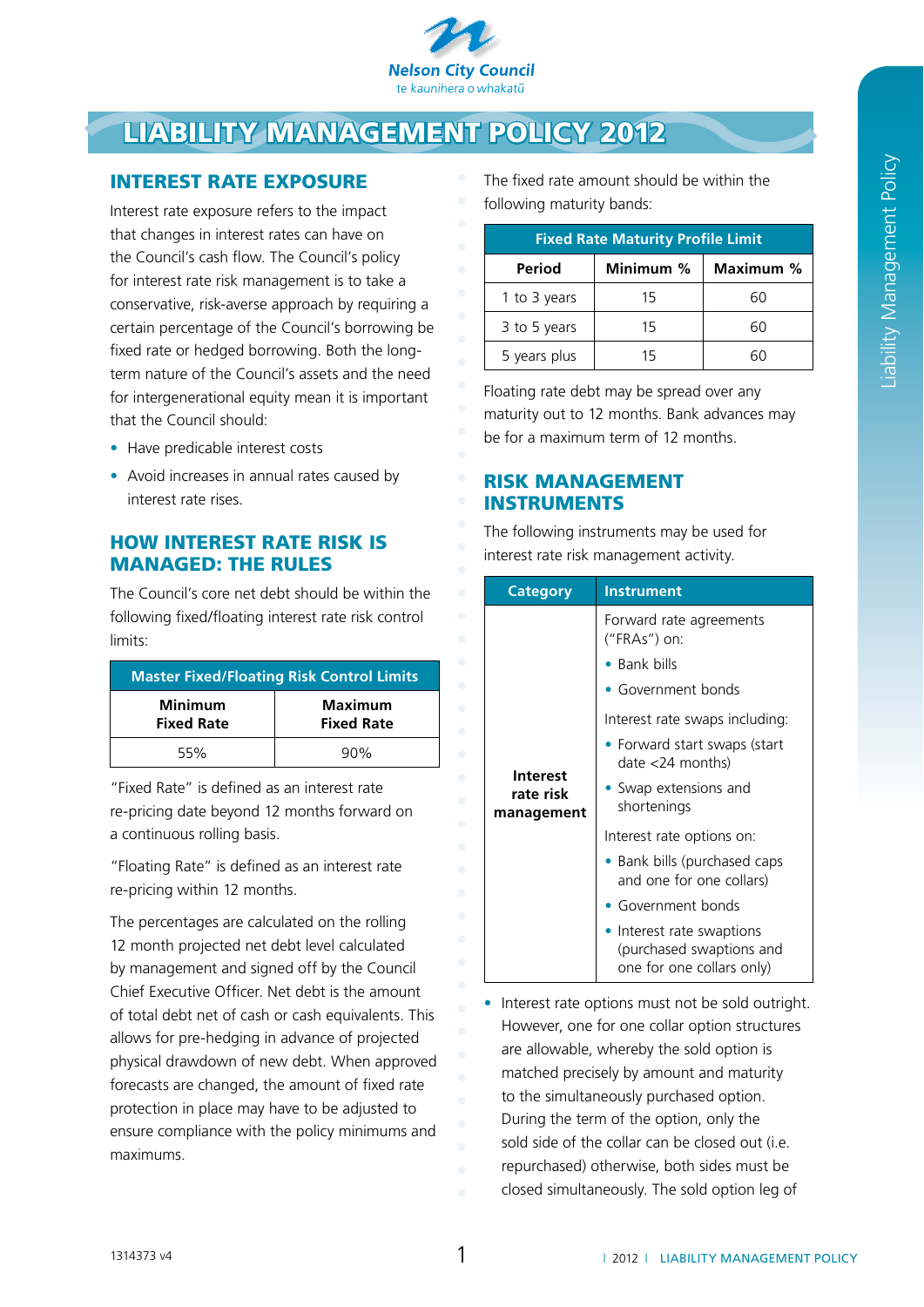

# Liability management policy 2012

# Interest rate exposure

Interest rate exposure refers to the impact that changes in interest rates can have on the Council's cash flow. The Council's policy for interest rate risk management is to take a conservative, risk-averse approach by requiring a certain percentage of the Council's borrowing be fixed rate or hedged borrowing. Both the longterm nature of the Council's assets and the need for intergenerational equity mean it is important that the Council should:

- Have predicable interest costs
- Avoid increases in annual rates caused by interest rate rises.

# How interest rate risk is managed: the rules

The Council's core net debt should be within the following fixed/floating interest rate risk control limits:

| <b>Master Fixed/Floating Risk Control Limits</b> |                                     |  |
|--------------------------------------------------|-------------------------------------|--|
| <b>Minimum</b><br><b>Fixed Rate</b>              | <b>Maximum</b><br><b>Fixed Rate</b> |  |
| 55%                                              | 90%                                 |  |

"Fixed Rate" is defined as an interest rate re-pricing date beyond 12 months forward on a continuous rolling basis.

"Floating Rate" is defined as an interest rate re-pricing within 12 months.

The percentages are calculated on the rolling 12 month projected net debt level calculated by management and signed off by the Council Chief Executive Officer. Net debt is the amount of total debt net of cash or cash equivalents. This allows for pre-hedging in advance of projected physical drawdown of new debt. When approved forecasts are changed, the amount of fixed rate protection in place may have to be adjusted to ensure compliance with the policy minimums and maximums.

The fixed rate amount should be within the following maturity bands:

| <b>Fixed Rate Maturity Profile Limit</b> |           |           |  |
|------------------------------------------|-----------|-----------|--|
| Period                                   | Minimum % | Maximum % |  |
| 1 to 3 years                             | 15        | 60        |  |
| 3 to 5 years                             | 15        | 60        |  |
| 5 years plus                             | 1 5       |           |  |

Floating rate debt may be spread over any maturity out to 12 months. Bank advances may be for a maximum term of 12 months.

## Risk management **INSTRUMENTS**

The following instruments may be used for interest rate risk management activity.

| <b>Category</b>                            | <b>Instrument</b>                                                                  |
|--------------------------------------------|------------------------------------------------------------------------------------|
|                                            | Forward rate agreements<br>("FRAs") on:                                            |
|                                            | $\bullet$ Bank bills                                                               |
| <b>Interest</b><br>rate risk<br>management | • Government bonds                                                                 |
|                                            | Interest rate swaps including:                                                     |
|                                            | • Forward start swaps (start<br>$date < 24$ months)                                |
|                                            | • Swap extensions and<br>shortenings                                               |
|                                            | Interest rate options on:                                                          |
|                                            | • Bank bills (purchased caps<br>and one for one collars)                           |
|                                            | Government bonds                                                                   |
|                                            | • Interest rate swaptions<br>(purchased swaptions and<br>one for one collars only) |

• Interest rate options must not be sold outright. However, one for one collar option structures are allowable, whereby the sold option is matched precisely by amount and maturity to the simultaneously purchased option. During the term of the option, only the sold side of the collar can be closed out (i.e. repurchased) otherwise, both sides must be closed simultaneously. The sold option leg of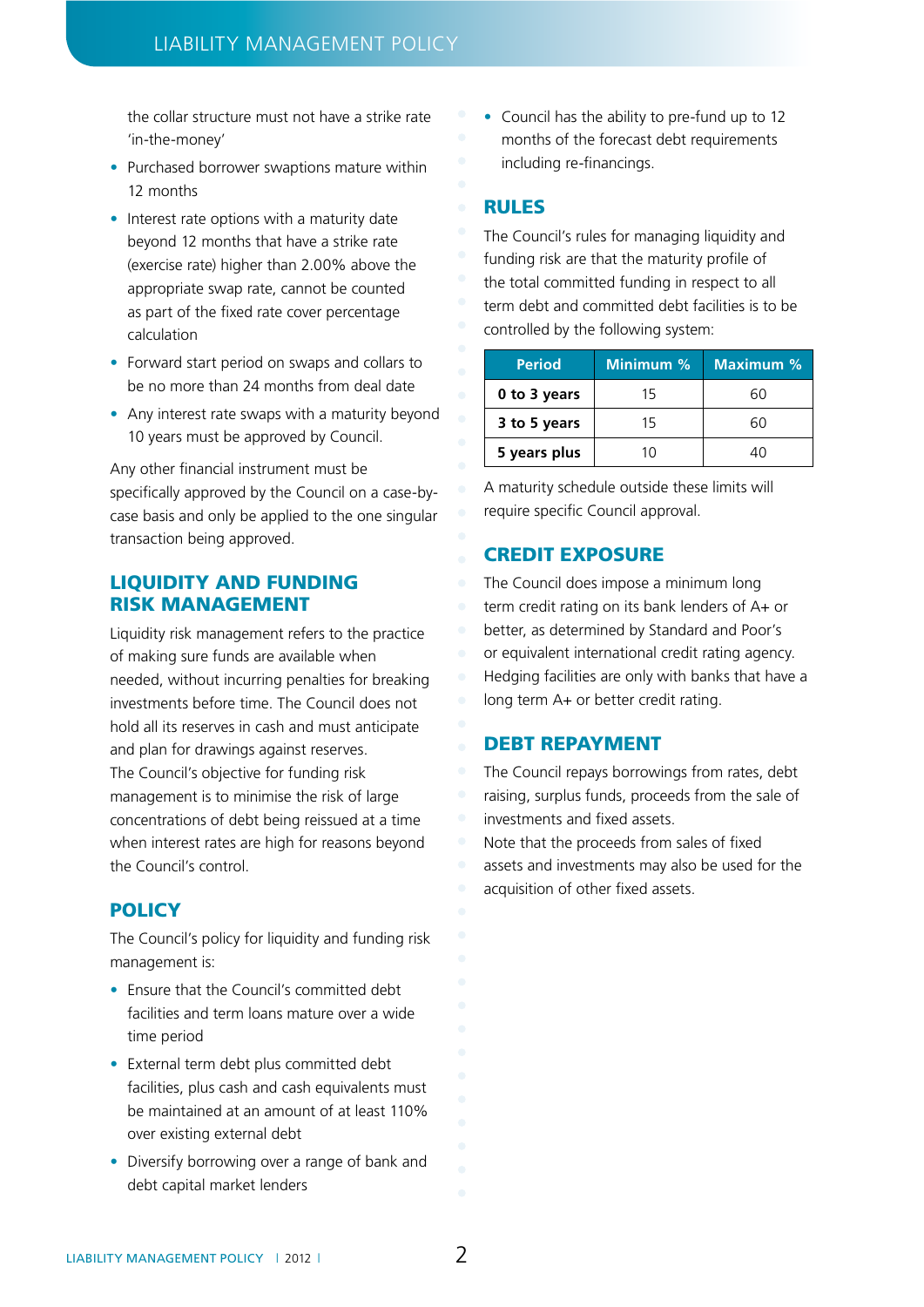the collar structure must not have a strike rate 'in-the-money'

- Purchased borrower swaptions mature within 12 months
- Interest rate options with a maturity date beyond 12 months that have a strike rate (exercise rate) higher than 2.00% above the appropriate swap rate, cannot be counted as part of the fixed rate cover percentage calculation
- Forward start period on swaps and collars to be no more than 24 months from deal date
- Any interest rate swaps with a maturity beyond 10 years must be approved by Council.

Any other financial instrument must be specifically approved by the Council on a case-bycase basis and only be applied to the one singular transaction being approved.

#### Liquidity and funding risk management

Liquidity risk management refers to the practice of making sure funds are available when needed, without incurring penalties for breaking investments before time. The Council does not hold all its reserves in cash and must anticipate and plan for drawings against reserves. The Council's objective for funding risk management is to minimise the risk of large concentrations of debt being reissued at a time when interest rates are high for reasons beyond the Council's control.

#### **POLICY**

The Council's policy for liquidity and funding risk management is:

- Ensure that the Council's committed debt facilities and term loans mature over a wide time period
- External term debt plus committed debt facilities, plus cash and cash equivalents must be maintained at an amount of at least 110% over existing external debt
- Diversify borrowing over a range of bank and debt capital market lenders

• Council has the ability to pre-fund up to 12 months of the forecast debt requirements including re-financings.

#### Rules

The Council's rules for managing liquidity and funding risk are that the maturity profile of the total committed funding in respect to all term debt and committed debt facilities is to be controlled by the following system:

| <b>Period</b> | Minimum % | <b>Maximum %</b> |
|---------------|-----------|------------------|
| 0 to 3 years  | 15        | 60               |
| 3 to 5 years  | 15        | <b>60</b>        |
| 5 years plus  | 11)       | 40               |

A maturity schedule outside these limits will require specific Council approval.

## **CREDIT EXPOSURE**

The Council does impose a minimum long term credit rating on its bank lenders of A+ or better, as determined by Standard and Poor's or equivalent international credit rating agency. Hedging facilities are only with banks that have a long term A+ or better credit rating.

#### DEBT REPAYMENT

The Council repays borrowings from rates, debt raising, surplus funds, proceeds from the sale of investments and fixed assets.

Note that the proceeds from sales of fixed assets and investments may also be used for the acquisition of other fixed assets.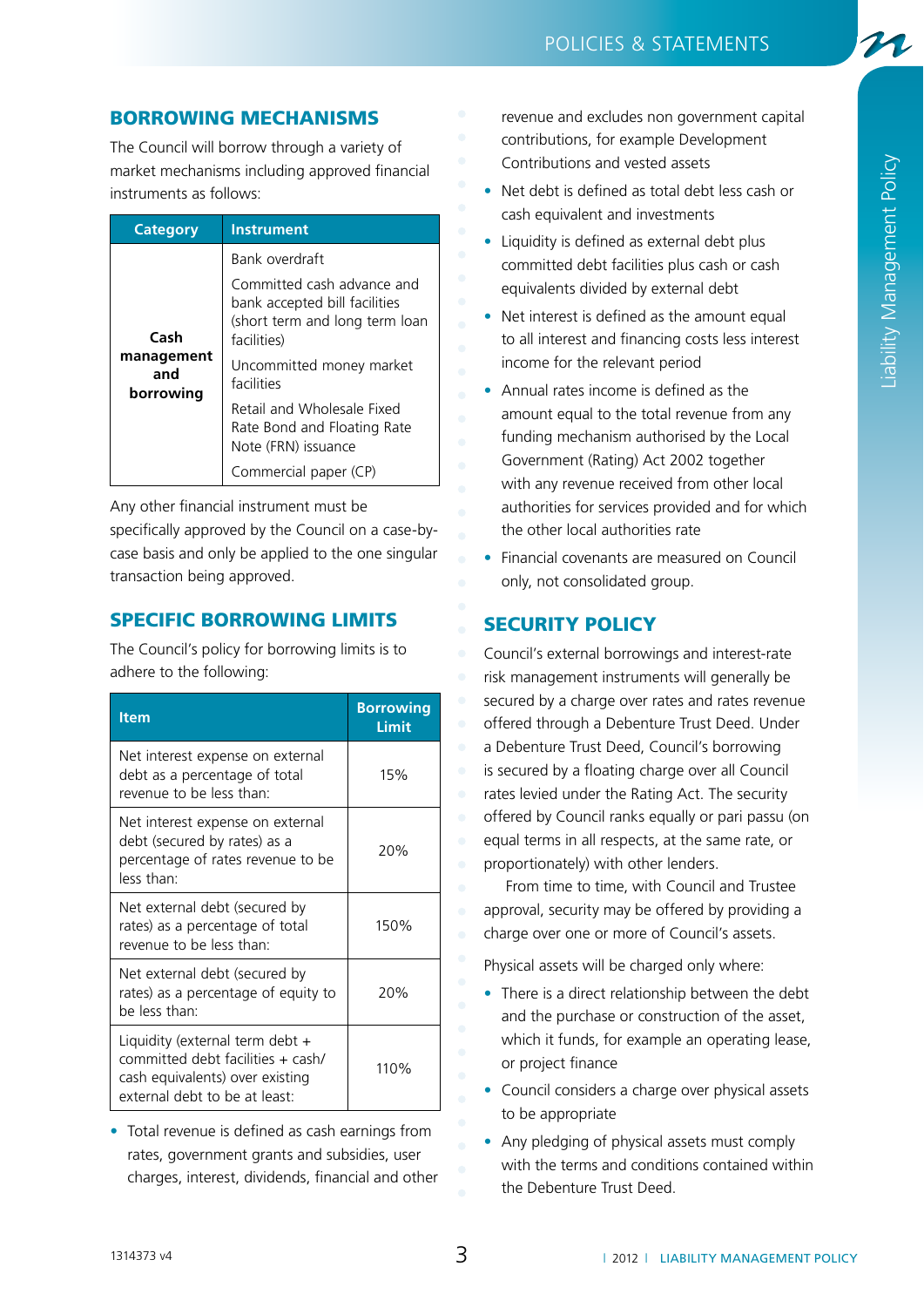## Borrowing mechanisms

The Council will borrow through a variety of market mechanisms including approved financial instruments as follows:

| <b>Category</b>                        | <b>Instrument</b>                                                                                            |
|----------------------------------------|--------------------------------------------------------------------------------------------------------------|
| Cash<br>management<br>and<br>borrowing | Bank overdraft                                                                                               |
|                                        | Committed cash advance and<br>bank accepted bill facilities<br>(short term and long term loan<br>facilities) |
|                                        | Uncommitted money market<br>facilities                                                                       |
|                                        | Retail and Wholesale Fixed<br>Rate Bond and Floating Rate<br>Note (FRN) issuance                             |
|                                        | Commercial paper (CP)                                                                                        |

Any other financial instrument must be

specifically approved by the Council on a case-bycase basis and only be applied to the one singular transaction being approved.

## Specific borrowing limits

The Council's policy for borrowing limits is to adhere to the following:

| <b>Item</b>                                                                                                                              | <b>Borrowing</b><br>Limit |
|------------------------------------------------------------------------------------------------------------------------------------------|---------------------------|
| Net interest expense on external<br>debt as a percentage of total<br>revenue to be less than:                                            | 15%                       |
| Net interest expense on external<br>debt (secured by rates) as a<br>percentage of rates revenue to be<br>less than:                      | 20%                       |
| Net external debt (secured by<br>rates) as a percentage of total<br>revenue to be less than:                                             | 150%                      |
| Net external debt (secured by<br>rates) as a percentage of equity to<br>be less than:                                                    | 20%                       |
| Liquidity (external term debt +<br>committed debt facilities + cash/<br>cash equivalents) over existing<br>external debt to be at least: | 110%                      |

• Total revenue is defined as cash earnings from rates, government grants and subsidies, user charges, interest, dividends, financial and other

- revenue and excludes non government capital contributions, for example Development Contributions and vested assets
- Net debt is defined as total debt less cash or cash equivalent and investments
- Liquidity is defined as external debt plus committed debt facilities plus cash or cash equivalents divided by external debt
- Net interest is defined as the amount equal to all interest and financing costs less interest income for the relevant period
- • Annual rates income is defined as the amount equal to the total revenue from any funding mechanism authorised by the Local Government (Rating) Act 2002 together with any revenue received from other local authorities for services provided and for which the other local authorities rate
- Financial covenants are measured on Council only, not consolidated group.

# **SECURITY POLICY**

Council's external borrowings and interest-rate risk management instruments will generally be secured by a charge over rates and rates revenue offered through a Debenture Trust Deed. Under a Debenture Trust Deed, Council's borrowing is secured by a floating charge over all Council rates levied under the Rating Act. The security offered by Council ranks equally or pari passu (on equal terms in all respects, at the same rate, or proportionately) with other lenders.

From time to time, with Council and Trustee approval, security may be offered by providing a charge over one or more of Council's assets.

Physical assets will be charged only where:

- There is a direct relationship between the debt and the purchase or construction of the asset, which it funds, for example an operating lease, or project finance
- Council considers a charge over physical assets to be appropriate
- Any pledging of physical assets must comply with the terms and conditions contained within the Debenture Trust Deed.